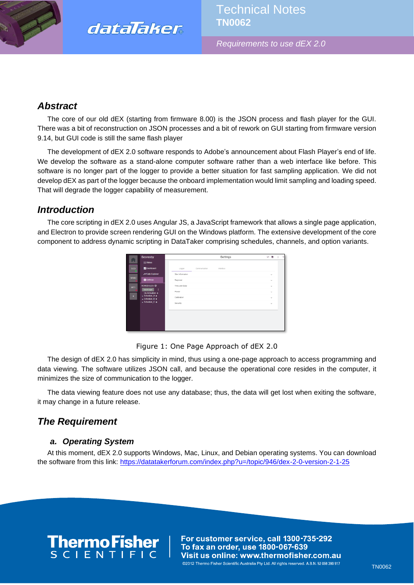

*Requirements to use dEX 2.0*

## *Abstract*

The core of our old dEX (starting from firmware 8.00) is the JSON process and flash player for the GUI. There was a bit of reconstruction on JSON processes and a bit of rework on GUI starting from firmware version 9.14, but GUI code is still the same flash player

The development of dEX 2.0 software responds to Adobe's announcement about Flash Player's end of life. We develop the software as a stand-alone computer software rather than a web interface like before. This software is no longer part of the logger to provide a better situation for fast sampling application. We did not develop dEX as part of the logger because the onboard implementation would limit sampling and loading speed. That will degrade the logger capability of measurement.

## *Introduction*

The core scripting in dEX 2.0 uses Angular JS, a JavaScript framework that allows a single page application, and Electron to provide screen rendering GUI on the Windows platform. The extensive development of the core component to address dynamic scripting in DataTaker comprising schedules, channels, and option variants.

|             | <b>Scoresby</b>                                                | Settings                             | v M          |
|-------------|----------------------------------------------------------------|--------------------------------------|--------------|
| Ħ           | $\equiv$ Status                                                |                                      |              |
| sco         | <b>B</b> Dashboard                                             | Communication<br>Interface<br>Logger |              |
|             | <b>NData</b> Explorer                                          | Site Information                     | $\checkmark$ |
| <b>SRBD</b> | <b>C</b> Settings                                              | Regional                             | $\sim$       |
| WT1         | SCHEDULES <sup>@</sup>                                         | Time and Date                        | $\checkmark$ |
|             | Apply to Logger<br>т<br>On Activation +                        | Power                                | $\checkmark$ |
| ٠           | $\star$ Schedule A $+$<br>$\blacktriangleright$ Schedule_B $+$ | Calibration                          | $\checkmark$ |
|             | $\blacktriangleright$ Schedule, C +                            | Security                             | $\sim$       |
|             |                                                                |                                      |              |
|             |                                                                |                                      |              |
|             |                                                                |                                      |              |
|             |                                                                |                                      |              |
|             |                                                                |                                      |              |

Figure 1: One Page Approach of dEX 2.0

The design of dEX 2.0 has simplicity in mind, thus using a one-page approach to access programming and data viewing. The software utilizes JSON call, and because the operational core resides in the computer, it minimizes the size of communication to the logger.

The data viewing feature does not use any database; thus, the data will get lost when exiting the software, it may change in a future release.

## *The Requirement*

## *a. Operating System*

At this moment, dEX 2.0 supports Windows, Mac, Linux, and Debian operating systems. You can download the software from this link: <https://datatakerforum.com/index.php?u=/topic/946/dex-2-0-version-2-1-25>



For customer service, call 1300-735-292 To fax an order, use 1800-067-639 Visit us online: www.thermofisher.com.au @2012 Thermo Fisher Scientific Australia Pty Ltd. All rights reserved. A.B.N. 52 058 390 917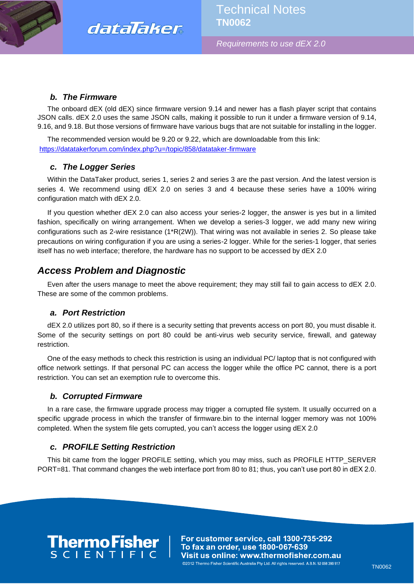



*Requirements to use dEX 2.0*

### *b. The Firmware*

The onboard dEX (old dEX) since firmware version 9.14 and newer has a flash player script that contains JSON calls. dEX 2.0 uses the same JSON calls, making it possible to run it under a firmware version of 9.14, 9.16, and 9.18. But those versions of firmware have various bugs that are not suitable for installing in the logger.

The recommended version would be 9.20 or 9.22, which are downloadable from this link: <https://datatakerforum.com/index.php?u=/topic/858/datataker-firmware>

### *c. The Logger Series*

Within the DataTaker product, series 1, series 2 and series 3 are the past version. And the latest version is series 4. We recommend using dEX 2.0 on series 3 and 4 because these series have a 100% wiring configuration match with dEX 2.0.

If you question whether dEX 2.0 can also access your series-2 logger, the answer is yes but in a limited fashion, specifically on wiring arrangement. When we develop a series-3 logger, we add many new wiring configurations such as 2-wire resistance (1\*R(2W)). That wiring was not available in series 2. So please take precautions on wiring configuration if you are using a series-2 logger. While for the series-1 logger, that series itself has no web interface; therefore, the hardware has no support to be accessed by dEX 2.0

## *Access Problem and Diagnostic*

Even after the users manage to meet the above requirement; they may still fail to gain access to dEX 2.0. These are some of the common problems.

### *a. Port Restriction*

dEX 2.0 utilizes port 80, so if there is a security setting that prevents access on port 80, you must disable it. Some of the security settings on port 80 could be anti-virus web security service, firewall, and gateway restriction.

One of the easy methods to check this restriction is using an individual PC/ laptop that is not configured with office network settings. If that personal PC can access the logger while the office PC cannot, there is a port restriction. You can set an exemption rule to overcome this.

### *b. Corrupted Firmware*

In a rare case, the firmware upgrade process may trigger a corrupted file system. It usually occurred on a specific upgrade process in which the transfer of firmware.bin to the internal logger memory was not 100% completed. When the system file gets corrupted, you can't access the logger using dEX 2.0

### *c. PROFILE Setting Restriction*

This bit came from the logger PROFILE setting, which you may miss, such as PROFILE HTTP\_SERVER PORT=81. That command changes the web interface port from 80 to 81; thus, you can't use port 80 in dEX 2.0.

# **ThermoFisher**<br>SCLENTIFIC

For customer service, call 1300-735-292 To fax an order, use 1800-067-639 Visit us online: www.thermofisher.com.au @2012 Thermo Fisher Scientific Australia Pty Ltd. All rights reserved. A.B.N. 52 058 390 917